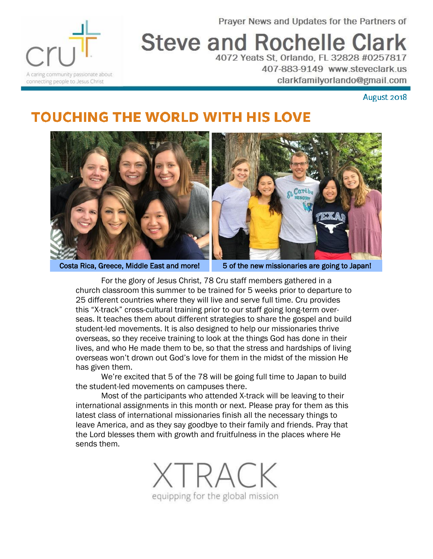Prayer News and Updates for the Partners of



## **Steve and Rochelle Clark** 4072 Yeats St, Orlando, FL 32828 #0257817

407-883-9149 www.steveclark.us clarkfamilyorlando@gmail.com

August 2018

## **TOUCHING THE WORLD WITH HIS LOVE**



Costa Rica, Greece, Middle East and more! 5 of the new missionaries are going to Japan!

For the glory of Jesus Christ, 78 Cru staff members gathered in a church classroom this summer to be trained for 5 weeks prior to departure to 25 different countries where they will live and serve full time. Cru provides this "X-track" cross-cultural training prior to our staff going long-term overseas. It teaches them about different strategies to share the gospel and build student-led movements. It is also designed to help our missionaries thrive overseas, so they receive training to look at the things God has done in their lives, and who He made them to be, so that the stress and hardships of living overseas won't drown out God's love for them in the midst of the mission He has given them.

We're excited that 5 of the 78 will be going full time to Japan to build the student-led movements on campuses there.

Most of the participants who attended X-track will be leaving to their international assignments in this month or next. Please pray for them as this latest class of international missionaries finish all the necessary things to leave America, and as they say goodbye to their family and friends. Pray that the Lord blesses them with growth and fruitfulness in the places where He sends them.

*IRACK* equipping for the global mission